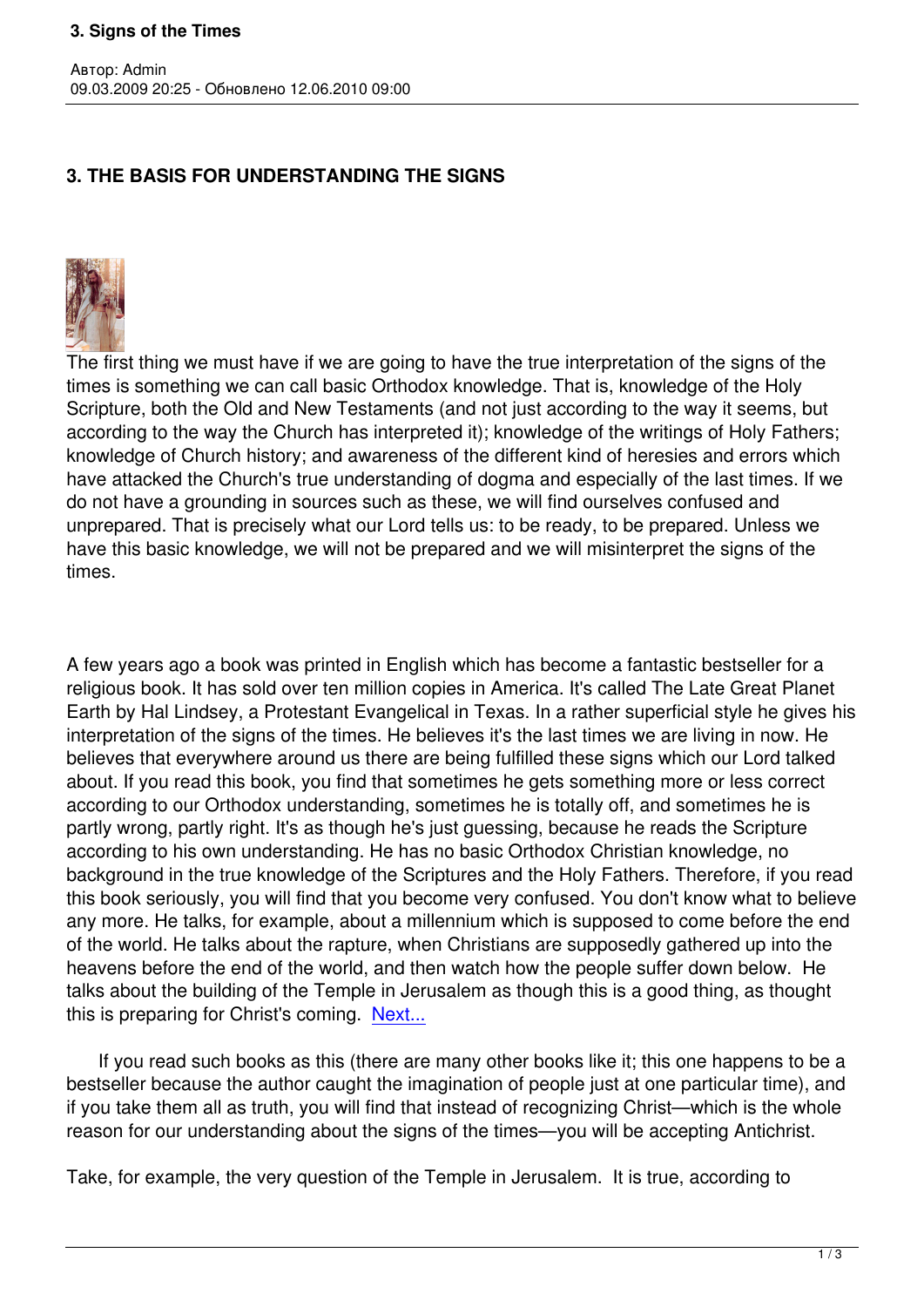## **3. THE BASIS FOR UNDERSTANDING THE SIGNS**



Автор: Admin

The first thing we must have if we are going to have the true interpretation of the signs of the times is something we can call basic Orthodox knowledge. That is, knowledge of the Holy Scripture, both the Old and New Testaments (and not just according to the way it seems, but according to the way the Church has interpreted it); knowledge of the writings of Holy Fathers; knowledge of Church history; and awareness of the different kind of heresies and errors which have attacked the Church's true understanding of dogma and especially of the last times. If we do not have a grounding in sources such as these, we will find ourselves confused and unprepared. That is precisely what our Lord tells us: to be ready, to be prepared. Unless we have this basic knowledge, we will not be prepared and we will misinterpret the signs of the times.

A few years ago a book was printed in English which has become a fantastic bestseller for a religious book. It has sold over ten million copies in America. It's called The Late Great Planet Earth by Hal Lindsey, a Protestant Evangelical in Texas. In a rather superficial style he gives his interpretation of the signs of the times. He believes it's the last times we are living in now. He believes that everywhere around us there are being fulfilled these signs which our Lord talked about. If you read this book, you find that sometimes he gets something more or less correct according to our Orthodox understanding, sometimes he is totally off, and sometimes he is partly wrong, partly right. It's as though he's just guessing, because he reads the Scripture according to his own understanding. He has no basic Orthodox Christian knowledge, no background in the true knowledge of the Scriptures and the Holy Fathers. Therefore, if you read this book seriously, you will find that you become very confused. You don't know what to believe any more. He talks, for example, about a millennium which is supposed to come before the end of the world. He talks about the rapture, when Christians are supposedly gathered up into the heavens before the end of the world, and then watch how the people suffer down below. He talks about the building of the Temple in Jerusalem as though this is a good thing, as thought this is preparing for Christ's coming. Next...

 If you read such books as this (there are many other books like it; this one happens to be a bestseller because the author caught [the im](index.php?option=com_content&task=view&id=429&Itemid=40)agination of people just at one particular time), and if you take them all as truth, you will find that instead of recognizing Christ—which is the whole reason for our understanding about the signs of the times—you will be accepting Antichrist.

Take, for example, the very question of the Temple in Jerusalem. It is true, according to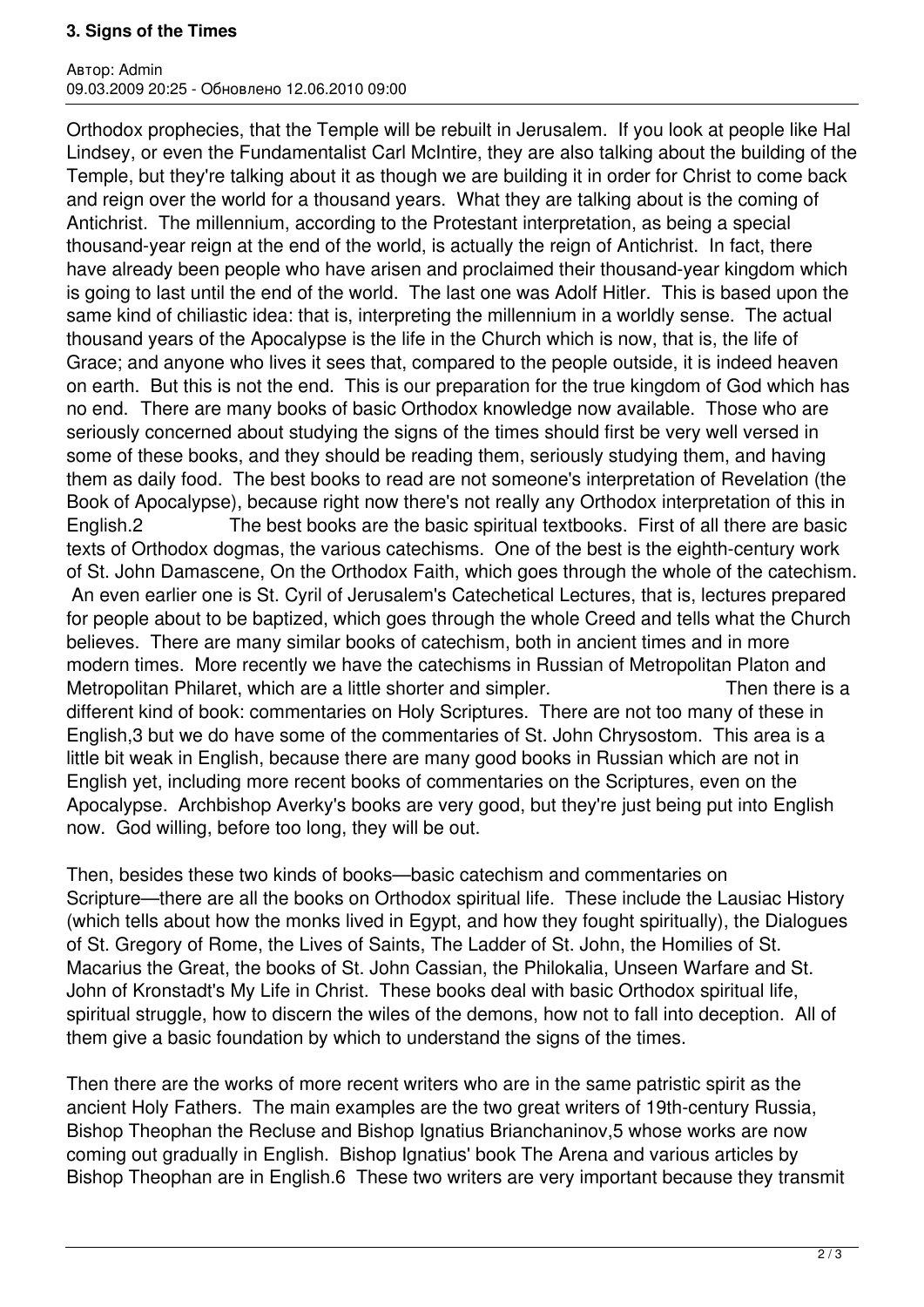## **3. Signs of the Times**

Автор: Admin 09.03.2009 20:25 - Обновлено 12.06.2010 09:00

Orthodox prophecies, that the Temple will be rebuilt in Jerusalem. If you look at people like Hal Lindsey, or even the Fundamentalist Carl McIntire, they are also talking about the building of the Temple, but they're talking about it as though we are building it in order for Christ to come back and reign over the world for a thousand years. What they are talking about is the coming of Antichrist. The millennium, according to the Protestant interpretation, as being a special thousand-year reign at the end of the world, is actually the reign of Antichrist. In fact, there have already been people who have arisen and proclaimed their thousand-year kingdom which is going to last until the end of the world. The last one was Adolf Hitler. This is based upon the same kind of chiliastic idea: that is, interpreting the millennium in a worldly sense. The actual thousand years of the Apocalypse is the life in the Church which is now, that is, the life of Grace; and anyone who lives it sees that, compared to the people outside, it is indeed heaven on earth. But this is not the end. This is our preparation for the true kingdom of God which has no end. There are many books of basic Orthodox knowledge now available. Those who are seriously concerned about studying the signs of the times should first be very well versed in some of these books, and they should be reading them, seriously studying them, and having them as daily food. The best books to read are not someone's interpretation of Revelation (the Book of Apocalypse), because right now there's not really any Orthodox interpretation of this in English.2 The best books are the basic spiritual textbooks. First of all there are basic texts of Orthodox dogmas, the various catechisms. One of the best is the eighth-century work of St. John Damascene, On the Orthodox Faith, which goes through the whole of the catechism. An even earlier one is St. Cyril of Jerusalem's Catechetical Lectures, that is, lectures prepared for people about to be baptized, which goes through the whole Creed and tells what the Church believes. There are many similar books of catechism, both in ancient times and in more modern times. More recently we have the catechisms in Russian of Metropolitan Platon and Metropolitan Philaret, which are a little shorter and simpler. Then there is a different kind of book: commentaries on Holy Scriptures. There are not too many of these in English,3 but we do have some of the commentaries of St. John Chrysostom. This area is a little bit weak in English, because there are many good books in Russian which are not in English yet, including more recent books of commentaries on the Scriptures, even on the Apocalypse. Archbishop Averky's books are very good, but they're just being put into English now. God willing, before too long, they will be out.

Then, besides these two kinds of books—basic catechism and commentaries on Scripture—there are all the books on Orthodox spiritual life. These include the Lausiac History (which tells about how the monks lived in Egypt, and how they fought spiritually), the Dialogues of St. Gregory of Rome, the Lives of Saints, The Ladder of St. John, the Homilies of St. Macarius the Great, the books of St. John Cassian, the Philokalia, Unseen Warfare and St. John of Kronstadt's My Life in Christ. These books deal with basic Orthodox spiritual life, spiritual struggle, how to discern the wiles of the demons, how not to fall into deception. All of them give a basic foundation by which to understand the signs of the times.

Then there are the works of more recent writers who are in the same patristic spirit as the ancient Holy Fathers. The main examples are the two great writers of 19th-century Russia, Bishop Theophan the Recluse and Bishop Ignatius Brianchaninov, 5 whose works are now coming out gradually in English. Bishop Ignatius' book The Arena and various articles by Bishop Theophan are in English.6 These two writers are very important because they transmit